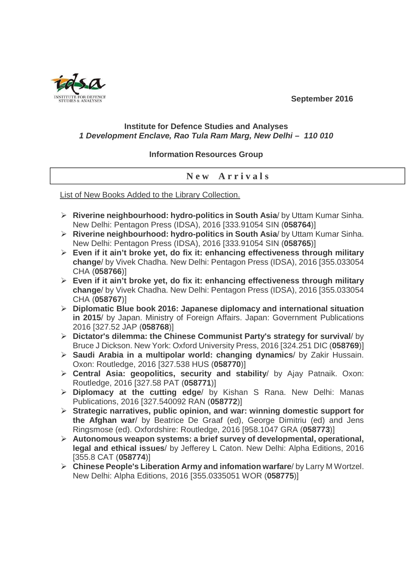**September 2016** 



## **Institute for Defence Studies and Analyses 1 Development Enclave, Rao Tula Ram Marg, New Delhi – 110 010**

## **Information Resources Group**

## **N e w A r r i v a l s**

List of New Books Added to the Library Collection.

- **Riverine neighbourhood: hydro-politics in South Asia**/ by Uttam Kumar Sinha. New Delhi: Pentagon Press (IDSA), 2016 [333.91054 SIN (**058764**)]
- **Riverine neighbourhood: hydro-politics in South Asia**/ by Uttam Kumar Sinha. New Delhi: Pentagon Press (IDSA), 2016 [333.91054 SIN (**058765**)]
- **Even if it ain't broke yet, do fix it: enhancing effectiveness through military change**/ by Vivek Chadha. New Delhi: Pentagon Press (IDSA), 2016 [355.033054 CHA (**058766**)]
- **Even if it ain't broke yet, do fix it: enhancing effectiveness through military change**/ by Vivek Chadha. New Delhi: Pentagon Press (IDSA), 2016 [355.033054 CHA (**058767**)]
- **Diplomatic Blue book 2016: Japanese diplomacy and international situation in 2015**/ by Japan. Ministry of Foreign Affairs. Japan: Government Publications 2016 [327.52 JAP (**058768**)]
- **Dictator's dilemma: the Chinese Communist Party's strategy for survival**/ by Bruce J Dickson. New York: Oxford University Press, 2016 [324.251 DIC (**058769**)]
- **Saudi Arabia in a multipolar world: changing dynamics**/ by Zakir Hussain. Oxon: Routledge, 2016 [327.538 HUS (**058770**)]
- **Central Asia: geopolitics, security and stability**/ by Ajay Patnaik. Oxon: Routledge, 2016 [327.58 PAT (**058771**)]
- **Diplomacy at the cutting edge**/ by Kishan S Rana. New Delhi: Manas Publications, 2016 [327.540092 RAN (**058772**)]
- **Strategic narratives, public opinion, and war: winning domestic support for the Afghan war**/ by Beatrice De Graaf (ed), George Dimitriu (ed) and Jens Ringsmose (ed). Oxfordshire: Routledge, 2016 [958.1047 GRA (**058773**)]
- **Autonomous weapon systems: a brief survey of developmental, operational, legal and ethical issues**/ by Jefferey L Caton. New Delhi: Alpha Editions, 2016 [355.8 CAT (**058774**)]
- **Chinese People's Liberation Army and infomation warfare**/ by Larry M Wortzel. New Delhi: Alpha Editions, 2016 [355.0335051 WOR (**058775**)]